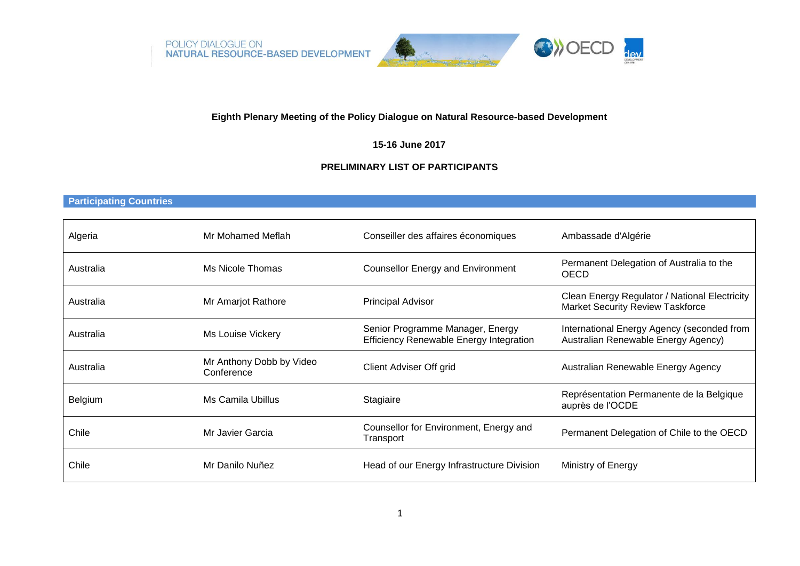POLICY DIALOGUE ON<br>NATURAL RESOURCE-BASED DEVELOPMENT





# **Eighth Plenary Meeting of the Policy Dialogue on Natural Resource-based Development**

**15-16 June 2017**

# **PRELIMINARY LIST OF PARTICIPANTS**

#### **Participating Countries**

| Algeria   | Mr Mohamed Meflah                      | Conseiller des affaires économiques                                                | Ambassade d'Algérie                                                                      |
|-----------|----------------------------------------|------------------------------------------------------------------------------------|------------------------------------------------------------------------------------------|
| Australia | Ms Nicole Thomas                       | <b>Counsellor Energy and Environment</b>                                           | Permanent Delegation of Australia to the<br><b>OECD</b>                                  |
| Australia | Mr Amarjot Rathore                     | <b>Principal Advisor</b>                                                           | Clean Energy Regulator / National Electricity<br><b>Market Security Review Taskforce</b> |
| Australia | Ms Louise Vickery                      | Senior Programme Manager, Energy<br><b>Efficiency Renewable Energy Integration</b> | International Energy Agency (seconded from<br>Australian Renewable Energy Agency)        |
| Australia | Mr Anthony Dobb by Video<br>Conference | <b>Client Adviser Off grid</b>                                                     | Australian Renewable Energy Agency                                                       |
| Belgium   | Ms Camila Ubillus                      | Stagiaire                                                                          | Représentation Permanente de la Belgique<br>auprès de l'OCDE                             |
| Chile     | Mr Javier Garcia                       | Counsellor for Environment, Energy and<br>Transport                                | Permanent Delegation of Chile to the OECD                                                |
| Chile     | Mr Danilo Nuñez                        | Head of our Energy Infrastructure Division                                         | Ministry of Energy                                                                       |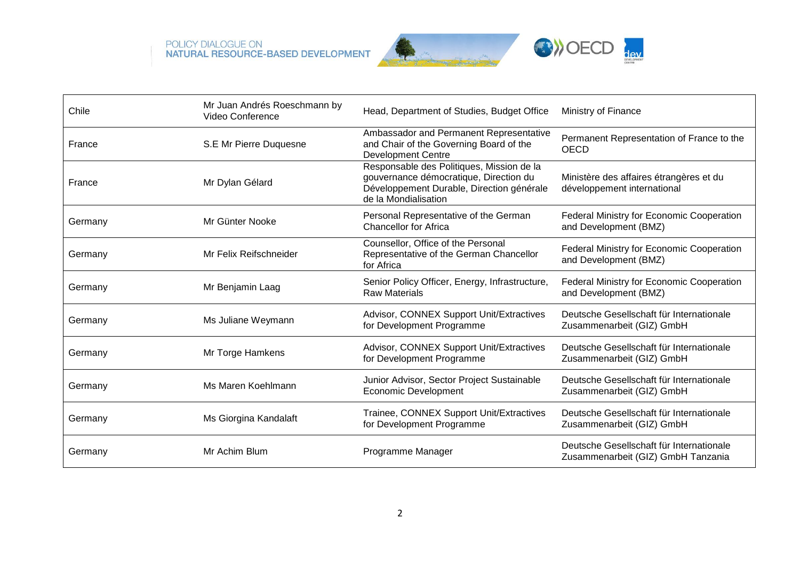





| Chile   | Mr Juan Andrés Roeschmann by<br>Video Conference | Head, Department of Studies, Budget Office                                                                                                               | Ministry of Finance                                                            |
|---------|--------------------------------------------------|----------------------------------------------------------------------------------------------------------------------------------------------------------|--------------------------------------------------------------------------------|
| France  | S.E Mr Pierre Duquesne                           | Ambassador and Permanent Representative<br>and Chair of the Governing Board of the<br><b>Development Centre</b>                                          | Permanent Representation of France to the<br><b>OECD</b>                       |
| France  | Mr Dylan Gélard                                  | Responsable des Politiques, Mission de la<br>gouvernance démocratique, Direction du<br>Développement Durable, Direction générale<br>de la Mondialisation | Ministère des affaires étrangères et du<br>développement international         |
| Germany | Mr Günter Nooke                                  | Personal Representative of the German<br><b>Chancellor for Africa</b>                                                                                    | Federal Ministry for Economic Cooperation<br>and Development (BMZ)             |
| Germany | Mr Felix Reifschneider                           | Counsellor, Office of the Personal<br>Representative of the German Chancellor<br>for Africa                                                              | Federal Ministry for Economic Cooperation<br>and Development (BMZ)             |
| Germany | Mr Benjamin Laag                                 | Senior Policy Officer, Energy, Infrastructure,<br><b>Raw Materials</b>                                                                                   | <b>Federal Ministry for Economic Cooperation</b><br>and Development (BMZ)      |
| Germany | Ms Juliane Weymann                               | Advisor, CONNEX Support Unit/Extractives<br>for Development Programme                                                                                    | Deutsche Gesellschaft für Internationale<br>Zusammenarbeit (GIZ) GmbH          |
| Germany | Mr Torge Hamkens                                 | Advisor, CONNEX Support Unit/Extractives<br>for Development Programme                                                                                    | Deutsche Gesellschaft für Internationale<br>Zusammenarbeit (GIZ) GmbH          |
| Germany | Ms Maren Koehlmann                               | Junior Advisor, Sector Project Sustainable<br><b>Economic Development</b>                                                                                | Deutsche Gesellschaft für Internationale<br>Zusammenarbeit (GIZ) GmbH          |
| Germany | Ms Giorgina Kandalaft                            | Trainee, CONNEX Support Unit/Extractives<br>for Development Programme                                                                                    | Deutsche Gesellschaft für Internationale<br>Zusammenarbeit (GIZ) GmbH          |
| Germany | Mr Achim Blum                                    | Programme Manager                                                                                                                                        | Deutsche Gesellschaft für Internationale<br>Zusammenarbeit (GIZ) GmbH Tanzania |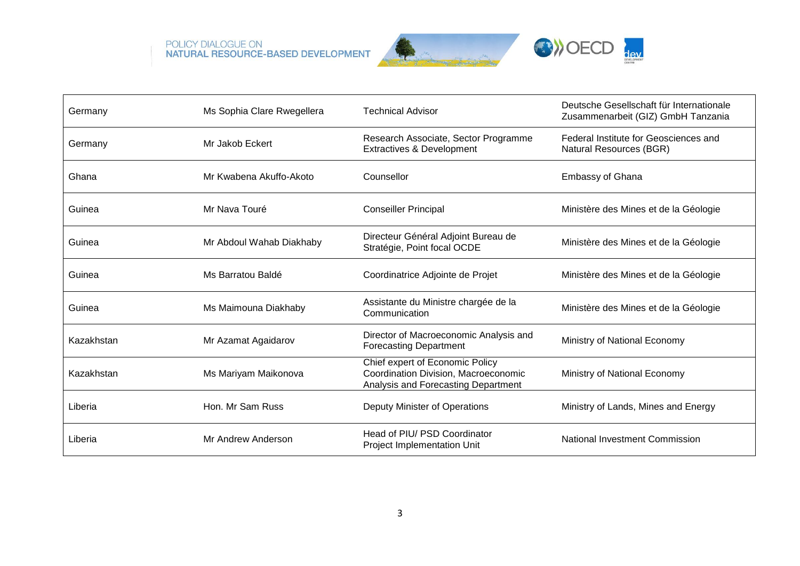





| Germany    | Ms Sophia Clare Rwegellera | <b>Technical Advisor</b>                                                                                       | Deutsche Gesellschaft für Internationale<br>Zusammenarbeit (GIZ) GmbH Tanzania |
|------------|----------------------------|----------------------------------------------------------------------------------------------------------------|--------------------------------------------------------------------------------|
| Germany    | Mr Jakob Eckert            | Research Associate, Sector Programme<br><b>Extractives &amp; Development</b>                                   | Federal Institute for Geosciences and<br>Natural Resources (BGR)               |
| Ghana      | Mr Kwabena Akuffo-Akoto    | Counsellor                                                                                                     | <b>Embassy of Ghana</b>                                                        |
| Guinea     | Mr Nava Touré              | <b>Conseiller Principal</b>                                                                                    | Ministère des Mines et de la Géologie                                          |
| Guinea     | Mr Abdoul Wahab Diakhaby   | Directeur Général Adjoint Bureau de<br>Stratégie, Point focal OCDE                                             | Ministère des Mines et de la Géologie                                          |
| Guinea     | Ms Barratou Baldé          | Coordinatrice Adjointe de Projet                                                                               | Ministère des Mines et de la Géologie                                          |
| Guinea     | Ms Maimouna Diakhaby       | Assistante du Ministre chargée de la<br>Communication                                                          | Ministère des Mines et de la Géologie                                          |
| Kazakhstan | Mr Azamat Agaidarov        | Director of Macroeconomic Analysis and<br><b>Forecasting Department</b>                                        | Ministry of National Economy                                                   |
| Kazakhstan | Ms Mariyam Maikonova       | Chief expert of Economic Policy<br>Coordination Division, Macroeconomic<br>Analysis and Forecasting Department | Ministry of National Economy                                                   |
| Liberia    | Hon. Mr Sam Russ           | Deputy Minister of Operations                                                                                  | Ministry of Lands, Mines and Energy                                            |
| Liberia    | Mr Andrew Anderson         | Head of PIU/ PSD Coordinator<br><b>Project Implementation Unit</b>                                             | National Investment Commission                                                 |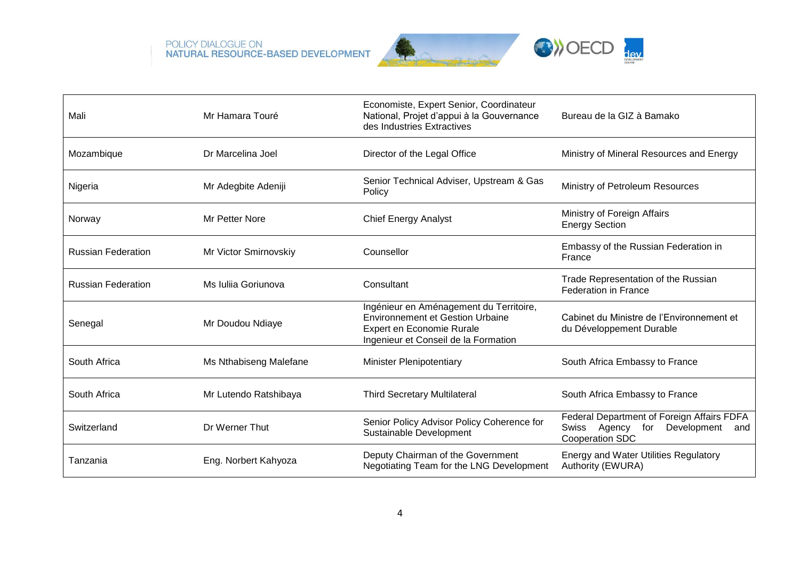





| Mali                      | Mr Hamara Touré        | Economiste, Expert Senior, Coordinateur<br>National, Projet d'appui à la Gouvernance<br>des Industries Extractives                                      | Bureau de la GIZ à Bamako                                                                                      |
|---------------------------|------------------------|---------------------------------------------------------------------------------------------------------------------------------------------------------|----------------------------------------------------------------------------------------------------------------|
| Mozambique                | Dr Marcelina Joel      | Director of the Legal Office                                                                                                                            | Ministry of Mineral Resources and Energy                                                                       |
| Nigeria                   | Mr Adegbite Adeniji    | Senior Technical Adviser, Upstream & Gas<br>Ministry of Petroleum Resources<br>Policy                                                                   |                                                                                                                |
| Norway                    | Mr Petter Nore         | <b>Chief Energy Analyst</b>                                                                                                                             | Ministry of Foreign Affairs<br><b>Energy Section</b>                                                           |
| <b>Russian Federation</b> | Mr Victor Smirnovskiy  | Counsellor                                                                                                                                              | Embassy of the Russian Federation in<br>France                                                                 |
| <b>Russian Federation</b> | Ms Iulija Goriunova    | Consultant                                                                                                                                              | Trade Representation of the Russian<br><b>Federation in France</b>                                             |
| Senegal                   | Mr Doudou Ndiaye       | Ingénieur en Aménagement du Territoire,<br><b>Environnement et Gestion Urbaine</b><br>Expert en Economie Rurale<br>Ingenieur et Conseil de la Formation | Cabinet du Ministre de l'Environnement et<br>du Développement Durable                                          |
| South Africa              | Ms Nthabiseng Malefane | <b>Minister Plenipotentiary</b>                                                                                                                         | South Africa Embassy to France                                                                                 |
| South Africa              | Mr Lutendo Ratshibaya  | <b>Third Secretary Multilateral</b>                                                                                                                     | South Africa Embassy to France                                                                                 |
| Switzerland               | Dr Werner Thut         | Senior Policy Advisor Policy Coherence for<br>Sustainable Development                                                                                   | Federal Department of Foreign Affairs FDFA<br>Swiss Agency<br>for Development<br>and<br><b>Cooperation SDC</b> |
| Tanzania                  | Eng. Norbert Kahyoza   | Deputy Chairman of the Government<br>Negotiating Team for the LNG Development                                                                           | <b>Energy and Water Utilities Regulatory</b><br>Authority (EWURA)                                              |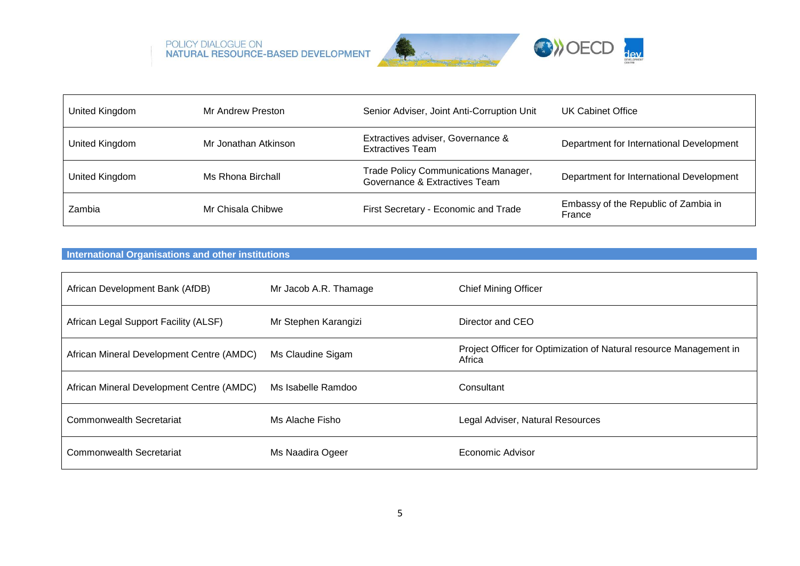





| United Kingdom | Mr Andrew Preston    | Senior Adviser, Joint Anti-Corruption Unit                            | UK Cabinet Office                              |
|----------------|----------------------|-----------------------------------------------------------------------|------------------------------------------------|
| United Kingdom | Mr Jonathan Atkinson | Extractives adviser, Governance &<br><b>Extractives Team</b>          | Department for International Development       |
| United Kingdom | Ms Rhona Birchall    | Trade Policy Communications Manager,<br>Governance & Extractives Team | Department for International Development       |
| Zambia         | Mr Chisala Chibwe    | First Secretary - Economic and Trade                                  | Embassy of the Republic of Zambia in<br>France |

### **International Organisations and other institutions**

| African Development Bank (AfDB)           | Mr Jacob A.R. Thamage | <b>Chief Mining Officer</b>                                                  |
|-------------------------------------------|-----------------------|------------------------------------------------------------------------------|
| African Legal Support Facility (ALSF)     | Mr Stephen Karangizi  | Director and CEO                                                             |
| African Mineral Development Centre (AMDC) | Ms Claudine Sigam     | Project Officer for Optimization of Natural resource Management in<br>Africa |
| African Mineral Development Centre (AMDC) | Ms Isabelle Ramdoo    | Consultant                                                                   |
| Commonwealth Secretariat                  | Ms Alache Fisho       | Legal Adviser, Natural Resources                                             |
| Commonwealth Secretariat                  | Ms Naadira Ogeer      | Economic Advisor                                                             |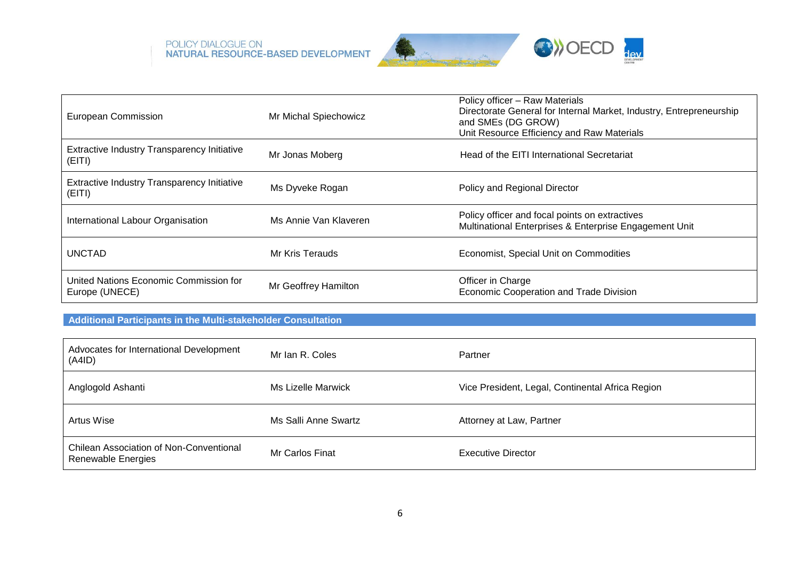





| European Commission                                      | Mr Michal Spiechowicz | Policy officer - Raw Materials<br>Directorate General for Internal Market, Industry, Entrepreneurship<br>and SMEs (DG GROW)<br>Unit Resource Efficiency and Raw Materials |
|----------------------------------------------------------|-----------------------|---------------------------------------------------------------------------------------------------------------------------------------------------------------------------|
| Extractive Industry Transparency Initiative<br>(EITI)    | Mr Jonas Moberg       | Head of the EITI International Secretariat                                                                                                                                |
| Extractive Industry Transparency Initiative<br>(EITI)    | Ms Dyveke Rogan       | Policy and Regional Director                                                                                                                                              |
| International Labour Organisation                        | Ms Annie Van Klaveren | Policy officer and focal points on extractives<br>Multinational Enterprises & Enterprise Engagement Unit                                                                  |
| <b>UNCTAD</b>                                            | Mr Kris Terauds       | Economist, Special Unit on Commodities                                                                                                                                    |
| United Nations Economic Commission for<br>Europe (UNECE) | Mr Geoffrey Hamilton  | Officer in Charge<br>Economic Cooperation and Trade Division                                                                                                              |

## **Additional Participants in the Multi-stakeholder Consultation**

| Advocates for International Development<br>(A4ID)                    | Mr Ian R. Coles      | Partner                                          |
|----------------------------------------------------------------------|----------------------|--------------------------------------------------|
| Anglogold Ashanti                                                    | Ms Lizelle Marwick   | Vice President, Legal, Continental Africa Region |
| Artus Wise                                                           | Ms Salli Anne Swartz | Attorney at Law, Partner                         |
| <b>Chilean Association of Non-Conventional</b><br>Renewable Energies | Mr Carlos Finat      | Executive Director                               |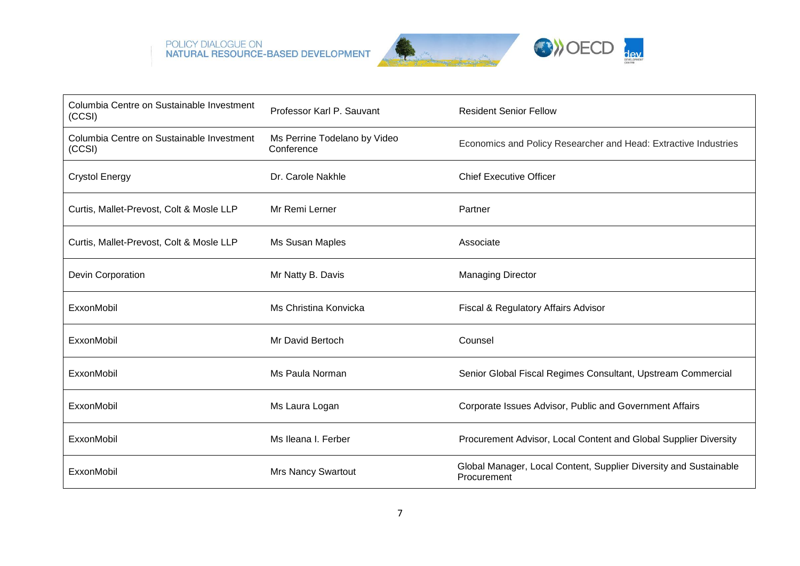





| Columbia Centre on Sustainable Investment<br>(CCSI) | Professor Karl P. Sauvant                  | <b>Resident Senior Fellow</b>                                                    |
|-----------------------------------------------------|--------------------------------------------|----------------------------------------------------------------------------------|
| Columbia Centre on Sustainable Investment<br>(CCSI) | Ms Perrine Todelano by Video<br>Conference | Economics and Policy Researcher and Head: Extractive Industries                  |
| <b>Crystol Energy</b>                               | Dr. Carole Nakhle                          | <b>Chief Executive Officer</b>                                                   |
| Curtis, Mallet-Prevost, Colt & Mosle LLP            | Mr Remi Lerner                             | Partner                                                                          |
| Curtis, Mallet-Prevost, Colt & Mosle LLP            | Ms Susan Maples                            | Associate                                                                        |
| Devin Corporation                                   | Mr Natty B. Davis                          | <b>Managing Director</b>                                                         |
| ExxonMobil                                          | Ms Christina Konvicka                      | Fiscal & Regulatory Affairs Advisor                                              |
| ExxonMobil                                          | Mr David Bertoch                           | Counsel                                                                          |
| ExxonMobil                                          | Ms Paula Norman                            | Senior Global Fiscal Regimes Consultant, Upstream Commercial                     |
| ExxonMobil                                          | Ms Laura Logan                             | Corporate Issues Advisor, Public and Government Affairs                          |
| ExxonMobil                                          | Ms Ileana I. Ferber                        | Procurement Advisor, Local Content and Global Supplier Diversity                 |
| ExxonMobil                                          | <b>Mrs Nancy Swartout</b>                  | Global Manager, Local Content, Supplier Diversity and Sustainable<br>Procurement |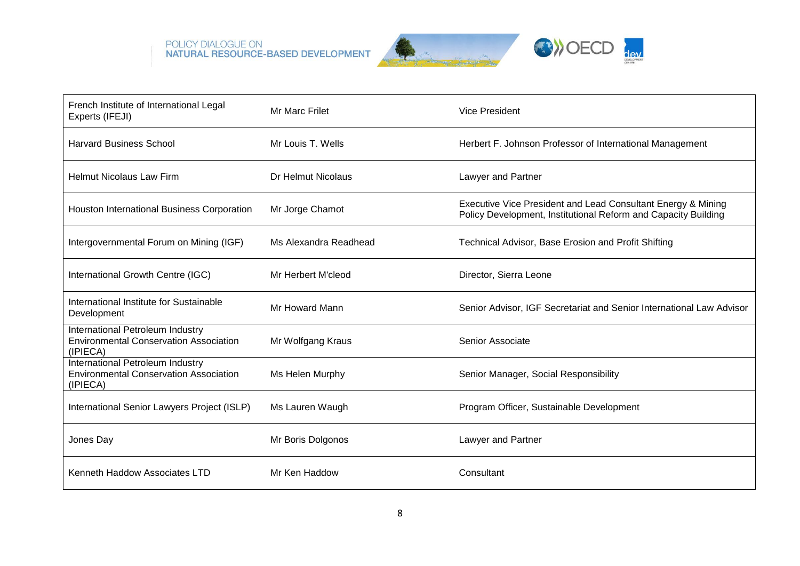





| French Institute of International Legal<br>Experts (IFEJI)                                    | <b>Mr Marc Frilet</b> | <b>Vice President</b>                                                                                                          |
|-----------------------------------------------------------------------------------------------|-----------------------|--------------------------------------------------------------------------------------------------------------------------------|
| <b>Harvard Business School</b>                                                                | Mr Louis T. Wells     | Herbert F. Johnson Professor of International Management                                                                       |
| <b>Helmut Nicolaus Law Firm</b>                                                               | Dr Helmut Nicolaus    | Lawyer and Partner                                                                                                             |
| Houston International Business Corporation                                                    | Mr Jorge Chamot       | Executive Vice President and Lead Consultant Energy & Mining<br>Policy Development, Institutional Reform and Capacity Building |
| Intergovernmental Forum on Mining (IGF)                                                       | Ms Alexandra Readhead | Technical Advisor, Base Erosion and Profit Shifting                                                                            |
| International Growth Centre (IGC)                                                             | Mr Herbert M'cleod    | Director, Sierra Leone                                                                                                         |
| International Institute for Sustainable<br>Development                                        | Mr Howard Mann        | Senior Advisor, IGF Secretariat and Senior International Law Advisor                                                           |
| International Petroleum Industry<br><b>Environmental Conservation Association</b><br>(IPIECA) | Mr Wolfgang Kraus     | Senior Associate                                                                                                               |
| International Petroleum Industry<br><b>Environmental Conservation Association</b><br>(IPIECA) | Ms Helen Murphy       | Senior Manager, Social Responsibility                                                                                          |
| International Senior Lawyers Project (ISLP)                                                   | Ms Lauren Waugh       | Program Officer, Sustainable Development                                                                                       |
| Jones Day                                                                                     | Mr Boris Dolgonos     | Lawyer and Partner                                                                                                             |
| Kenneth Haddow Associates LTD                                                                 | Mr Ken Haddow         | Consultant                                                                                                                     |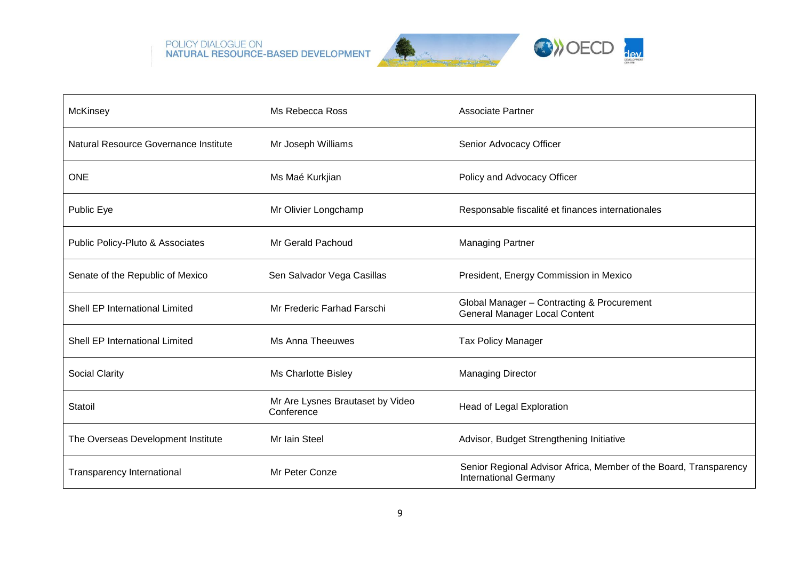





| McKinsey                              | Ms Rebecca Ross                                | <b>Associate Partner</b>                                                                          |
|---------------------------------------|------------------------------------------------|---------------------------------------------------------------------------------------------------|
| Natural Resource Governance Institute | Mr Joseph Williams                             | Senior Advocacy Officer                                                                           |
| <b>ONE</b>                            | Ms Maé Kurkjian                                | Policy and Advocacy Officer                                                                       |
| Public Eye                            | Mr Olivier Longchamp                           | Responsable fiscalité et finances internationales                                                 |
| Public Policy-Pluto & Associates      | Mr Gerald Pachoud                              | <b>Managing Partner</b>                                                                           |
| Senate of the Republic of Mexico      | Sen Salvador Vega Casillas                     | President, Energy Commission in Mexico                                                            |
| Shell EP International Limited        | Mr Frederic Farhad Farschi                     | Global Manager - Contracting & Procurement<br><b>General Manager Local Content</b>                |
| <b>Shell EP International Limited</b> | Ms Anna Theeuwes                               | <b>Tax Policy Manager</b>                                                                         |
| <b>Social Clarity</b>                 | Ms Charlotte Bisley                            | <b>Managing Director</b>                                                                          |
| Statoil                               | Mr Are Lysnes Brautaset by Video<br>Conference | Head of Legal Exploration                                                                         |
| The Overseas Development Institute    | Mr Iain Steel                                  | Advisor, Budget Strengthening Initiative                                                          |
| <b>Transparency International</b>     | Mr Peter Conze                                 | Senior Regional Advisor Africa, Member of the Board, Transparency<br><b>International Germany</b> |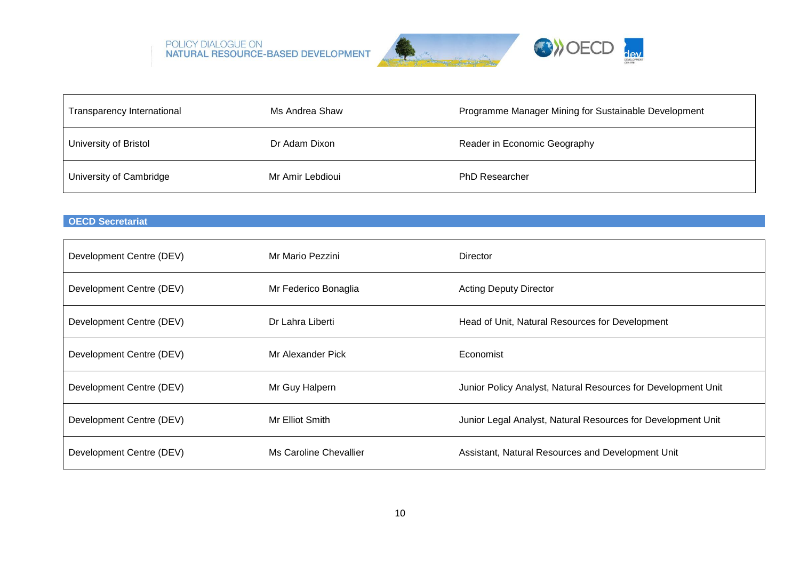

| Transparency International | Ms Andrea Shaw   | Programme Manager Mining for Sustainable Development |
|----------------------------|------------------|------------------------------------------------------|
| University of Bristol      | Dr Adam Dixon    | Reader in Economic Geography                         |
| University of Cambridge    | Mr Amir Lebdioui | <b>PhD Researcher</b>                                |

# **OECD Secretariat**

| Development Centre (DEV) | Mr Mario Pezzini       | <b>Director</b>                                               |
|--------------------------|------------------------|---------------------------------------------------------------|
| Development Centre (DEV) | Mr Federico Bonaglia   | <b>Acting Deputy Director</b>                                 |
| Development Centre (DEV) | Dr Lahra Liberti       | Head of Unit, Natural Resources for Development               |
| Development Centre (DEV) | Mr Alexander Pick      | Economist                                                     |
| Development Centre (DEV) | Mr Guy Halpern         | Junior Policy Analyst, Natural Resources for Development Unit |
| Development Centre (DEV) | Mr Elliot Smith        | Junior Legal Analyst, Natural Resources for Development Unit  |
| Development Centre (DEV) | Ms Caroline Chevallier | Assistant, Natural Resources and Development Unit             |